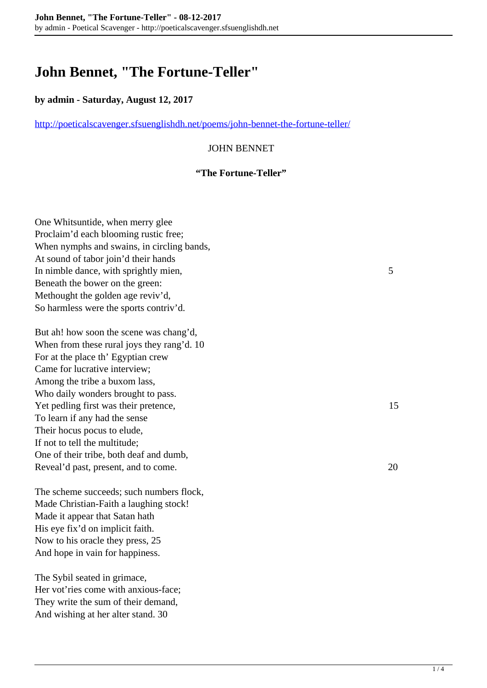# **John Bennet, "The Fortune-Teller"**

### **by admin - Saturday, August 12, 2017**

<http://poeticalscavenger.sfsuenglishdh.net/poems/john-bennet-the-fortune-teller/>

### JOHN BENNET

#### **"The Fortune-Teller"**

One Whitsuntide, when merry glee Proclaim'd each blooming rustic free; When nymphs and swains, in circling bands, At sound of tabor join'd their hands In nimble dance, with sprightly mien, 5 Beneath the bower on the green: Methought the golden age reviv'd, So harmless were the sports contriv'd.

But ah! how soon the scene was chang'd, When from these rural joys they rang'd. 10 For at the place th' Egyptian crew Came for lucrative interview; Among the tribe a buxom lass, Who daily wonders brought to pass. Yet pedling first was their pretence, 15 To learn if any had the sense Their hocus pocus to elude, If not to tell the multitude; One of their tribe, both deaf and dumb, Reveal'd past, present, and to come. 20

The scheme succeeds; such numbers flock, Made Christian-Faith a laughing stock! Made it appear that Satan hath His eye fix'd on implicit faith. Now to his oracle they press, 25 And hope in vain for happiness.

The Sybil seated in grimace, Her vot'ries come with anxious-face; They write the sum of their demand, And wishing at her alter stand. 30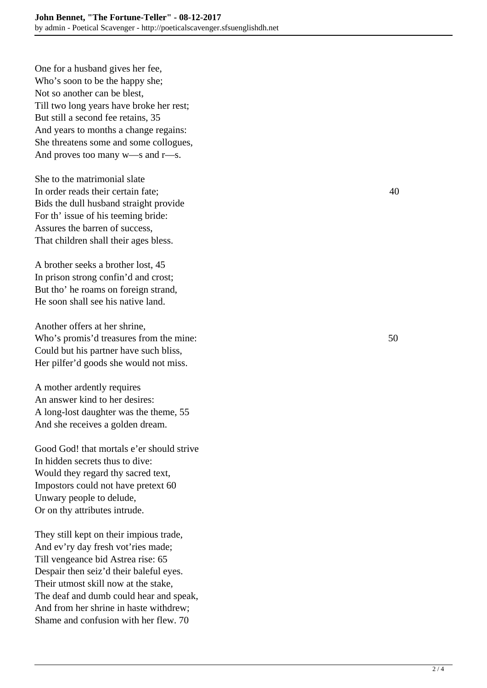One for a husband gives her fee, Who's soon to be the happy she; Not so another can be blest, Till two long years have broke her rest; But still a second fee retains, 35 And years to months a change regains: She threatens some and some collogues, And proves too many w—s and r—s.

She to the matrimonial slate In order reads their certain fate; 40 Bids the dull husband straight provide For th' issue of his teeming bride: Assures the barren of success, That children shall their ages bless.

A brother seeks a brother lost, 45 In prison strong confin'd and crost; But tho' he roams on foreign strand, He soon shall see his native land.

Another offers at her shrine, Who's promis'd treasures from the mine: 50 Could but his partner have such bliss, Her pilfer'd goods she would not miss.

A mother ardently requires An answer kind to her desires: A long-lost daughter was the theme, 55 And she receives a golden dream.

Good God! that mortals e'er should strive In hidden secrets thus to dive: Would they regard thy sacred text, Impostors could not have pretext 60 Unwary people to delude, Or on thy attributes intrude.

They still kept on their impious trade, And ev'ry day fresh vot'ries made; Till vengeance bid Astrea rise: 65 Despair then seiz'd their baleful eyes. Their utmost skill now at the stake, The deaf and dumb could hear and speak, And from her shrine in haste withdrew; Shame and confusion with her flew. 70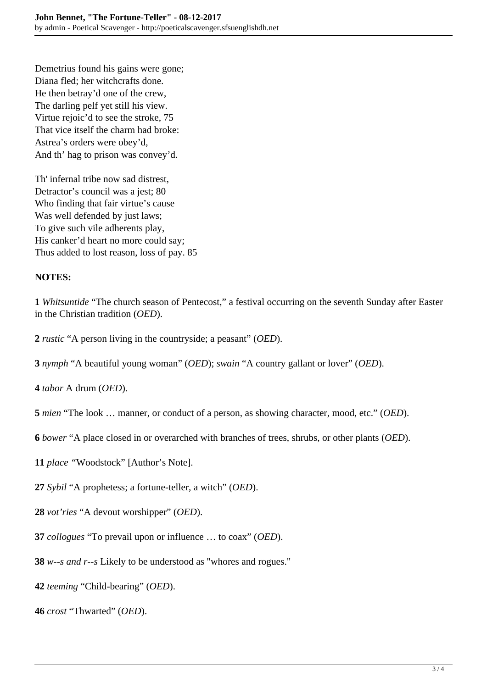Demetrius found his gains were gone; Diana fled; her witchcrafts done. He then betray'd one of the crew, The darling pelf yet still his view. Virtue rejoic'd to see the stroke, 75 That vice itself the charm had broke: Astrea's orders were obey'd, And th' hag to prison was convey'd.

Th' infernal tribe now sad distrest, Detractor's council was a jest; 80 Who finding that fair virtue's cause Was well defended by just laws; To give such vile adherents play, His canker'd heart no more could say; Thus added to lost reason, loss of pay. 85

## **NOTES:**

**1** *Whitsuntide* "The church season of Pentecost," a festival occurring on the seventh Sunday after Easter in the Christian tradition (*OED*).

**2** *rustic* "A person living in the countryside; a peasant" (*OED*).

**3** *nymph* "A beautiful young woman" (*OED*); *swain* "A country gallant or lover" (*OED*).

**4** *tabor* A drum (*OED*).

**5** *mien* "The look … manner, or conduct of a person, as showing character, mood, etc." (*OED*).

**6** *bower* "A place closed in or overarched with branches of trees, shrubs, or other plants (*OED*).

- **11** *place "*Woodstock" [Author's Note].
- **27** *Sybil* "A prophetess; a fortune-teller, a witch" (*OED*).
- **28** *vot'ries* "A devout worshipper" (*OED*).
- **37** *collogues* "To prevail upon or influence … to coax" (*OED*).
- **38** *w--s and r--s* Likely to be understood as "whores and rogues."
- **42** *teeming* "Child-bearing" (*OED*).
- **46** *crost* "Thwarted" (*OED*).